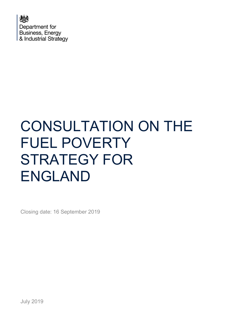

# CONSULTATION ON THE FUEL POVERTY STRATEGY FOR ENGLAND

Closing date: 16 September 2019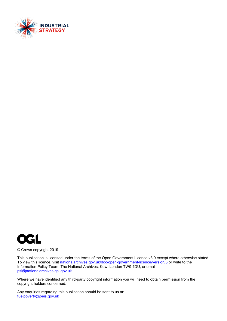



© Crown copyright 2019

This publication is licensed under the terms of the Open Government Licence v3.0 except where otherwise stated. To view this licence, visit [nationalarchives.gov.uk/doc/open-government-licence/version/3](http://nationalarchives.gov.uk/doc/open-government-licence/version/3/) or write to the Information Policy Team, The National Archives, Kew, London TW9 4DU, or email: [psi@nationalarchives.gsi.gov.uk.](mailto:psi@nationalarchives.gsi.gov.uk)

Where we have identified any third-party copyright information you will need to obtain permission from the copyright holders concerned.

Any enquiries regarding this publication should be sent to us at: [fuelpoverty@beis.gov.uk](mailto:fuelpoverty@beis.gov.uk)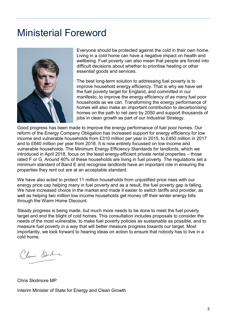## <span id="page-2-0"></span>Ministerial Foreword



Everyone should be protected against the cold in their own home. Living in a cold home can have a negative impact on health and wellbeing. Fuel poverty can also mean that people are forced into difficult decisions about whether to prioritise heating or other essential goods and services.

The best long-term solution to addressing fuel poverty is to improve household energy efficiency. That is why we have set the fuel poverty target for England, and committed in our manifesto, to improve the energy efficiency of as many fuel poor households as we can. Transforming the energy performance of homes will also make an important contribution to decarbonising homes on the path to net zero by 2050 and support thousands of jobs in clean growth as part of our Industrial Strategy.

Good progress has been made to improve the energy performance of fuel poor homes. Our reform of the Energy Company Obligation has increased support for energy efficiency for low income and vulnerable households from £310 million per year in 2015, to £450 million in 2017 and to £640 million per year from 2018. It is now entirely focussed on low income and vulnerable households. The Minimum Energy Efficiency Standards for landlords, which we introduced in April 2018, focus on the least energy-efficient private rental properties – those rated F or G. Around 40% of these households are living in fuel poverty. The regulations set a minimum standard of Band E and recognise landlords have an important role in ensuring the properties they rent out are at an acceptable standard.

We have also acted to protect 11 million households from unjustified price rises with our energy price cap helping many in fuel poverty and as a result, the fuel poverty gap is falling. We have increased choice in the market and made it easier to switch tariffs and provider, as well as helping two million low income households get money off their winter energy bills through the Warm Home Discount.

Steady progress is being made, but much more needs to be done to meet the fuel poverty target and end the blight of cold homes. This consultation includes proposals to consider the needs of the most vulnerable, to make fuel poverty policies as sustainable as possible, and to measure fuel poverty in a way that will better measure progress towards our target. Most importantly, we look forward to hearing ideas on action to ensure that nobody has to live in a cold home.

Climi Stile

Chris Skidmore MP

Interim Minister of State for Energy and Clean Growth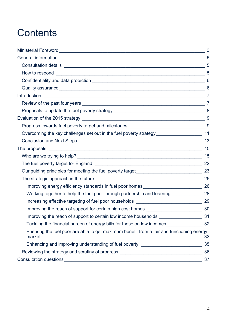## **Contents**

|                                                                                                     | 3              |
|-----------------------------------------------------------------------------------------------------|----------------|
|                                                                                                     |                |
|                                                                                                     |                |
|                                                                                                     | $\overline{5}$ |
|                                                                                                     |                |
|                                                                                                     | 6              |
|                                                                                                     |                |
|                                                                                                     |                |
|                                                                                                     |                |
|                                                                                                     | 9              |
|                                                                                                     |                |
|                                                                                                     |                |
|                                                                                                     | 13             |
|                                                                                                     | 15             |
|                                                                                                     | 15             |
|                                                                                                     |                |
|                                                                                                     |                |
|                                                                                                     | 26             |
| Improving energy efficiency standards in fuel poor homes _________________________ 26               |                |
| Working together to help the fuel poor through partnership and learning _____________ 28            |                |
|                                                                                                     |                |
|                                                                                                     |                |
| Improving the reach of support to certain low income households ________                            | 31             |
| Tackling the financial burden of energy bills for those on low incomes___________                   | 32             |
| Ensuring the fuel poor are able to get maximum benefit from a fair and functioning energy<br>market | 33             |
| Enhancing and improving understanding of fuel poverty __________________________                    | 35             |
| Reviewing the strategy and scrutiny of progress ________________________________                    | 36             |
| Consultation questions                                                                              | 37             |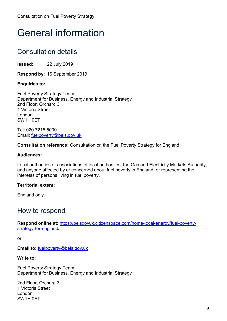## <span id="page-4-0"></span>General information

## <span id="page-4-1"></span>Consultation details

**Issued:** 22 July 2019

**Respond by:** 16 September 2019

**Enquiries to:** 

Fuel Poverty Strategy Team Department for Business, Energy and Industrial Strategy 2nd Floor, Orchard 3 1 Victoria Street London SW1H 0ET

Tel: 020 7215 5000 Email: [fuelpoverty@beis.gov.uk](mailto:fuelpoverty@beis.gov.uk)

**Consultation reference:** Consultation on the Fuel Poverty Strategy for England

#### **Audiences:**

Local authorities or associations of local authorities; the Gas and Electricity Markets Authority; and anyone affected by or concerned about fuel poverty in England, or representing the interests of persons living in fuel poverty.

#### **Territorial extent:**

England only.

### <span id="page-4-2"></span>How to respond

**Respond online at:** [https://beisgovuk.citizenspace.com/home-local-energy/fuel-poverty](https://eur02.safelinks.protection.outlook.com/?url=https%3A%2F%2Fbeisgovuk.citizenspace.com%2Fhome-local-energy%2Ffuel-poverty-strategy-for-england%2Fconsult_admin_view%2F&data=02%7C01%7Ckirsten.horton%40beis.gov.uk%7C9d3f1dba2514489028f208d6eb46eba4%7Ccbac700502c143ebb497e6492d1b2dd8%7C0%7C1%7C636955087163419375&sdata=a1hteTXOT7Sb2HnxilIiagaZIW3mXCPfMcM1oKepW0w%3D&reserved=0)[strategy-for-england/](https://eur02.safelinks.protection.outlook.com/?url=https%3A%2F%2Fbeisgovuk.citizenspace.com%2Fhome-local-energy%2Ffuel-poverty-strategy-for-england%2Fconsult_admin_view%2F&data=02%7C01%7Ckirsten.horton%40beis.gov.uk%7C9d3f1dba2514489028f208d6eb46eba4%7Ccbac700502c143ebb497e6492d1b2dd8%7C0%7C1%7C636955087163419375&sdata=a1hteTXOT7Sb2HnxilIiagaZIW3mXCPfMcM1oKepW0w%3D&reserved=0)

or

**Email to:** [fuelpoverty@beis.gov.uk](mailto:fuelpoverty@beis.gov.uk)

#### **Write to:**

Fuel Poverty Strategy Team Department for Business, Energy and Industrial Strategy

2nd Floor, Orchard 3 1 Victoria Street London SW1H 0ET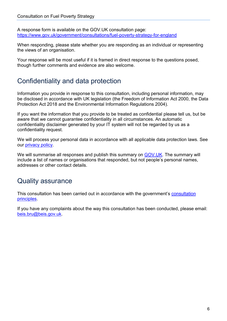A response form is available on the GOV.UK consultation page: [https://www.gov.uk/government/consultations/fuel-poverty-strategy-for-england](https://eur02.safelinks.protection.outlook.com/?url=https%3A%2F%2Fwww.gov.uk%2Fgovernment%2Fconsultations%2Ffuel-poverty-strategy-for-england&data=02%7C01%7Ckirsten.horton%40beis.gov.uk%7C53561cc81a604467111808d70c3c00fb%7Ccbac700502c143ebb497e6492d1b2dd8%7C0%7C1%7C636991324159629538&sdata=n1Ud3%2F%2BPypuo6TLBYPNVAHRE0ZrlCr88KGZUiRdeQHY%3D&reserved=0)

When responding, please state whether you are responding as an individual or representing the views of an organisation.

Your response will be most useful if it is framed in direct response to the questions posed, though further comments and evidence are also welcome.

## <span id="page-5-0"></span>Confidentiality and data protection

Information you provide in response to this consultation, including personal information, may be disclosed in accordance with UK legislation (the Freedom of Information Act 2000, the Data Protection Act 2018 and the Environmental Information Regulations 2004).

If you want the information that you provide to be treated as confidential please tell us, but be aware that we cannot guarantee confidentiality in all circumstances. An automatic confidentiality disclaimer generated by your IT system will not be regarded by us as a confidentiality request.

We will process your personal data in accordance with all applicable data protection laws. See our [privacy policy.](https://www.gov.uk/government/organisations/department-for-business-energy-and-industrial-strategy/about/personal-information-charter)

We will summarise all responses and publish this summary on [GOV.UK.](https://www.gov.uk/government/publications?keywords=&publication_filter_option=closed-consultations&topics%5B%5D=all&departments%5B%5D=department-for-business-energy-and-industrial-strategy&official_document_status=all&world_locations%5B%5D=all&from_date=&to_date=) The summary will include a list of names or organisations that responded, but not people's personal names, addresses or other contact details.

### <span id="page-5-1"></span>Quality assurance

This [consultation](https://www.gov.uk/government/publications/consultation-principles-guidance) has been carried out in accordance with the government's consultation [principles.](https://www.gov.uk/government/publications/consultation-principles-guidance)

If you have any complaints about the way this consultation has been conducted, please email: [beis.bru@beis.gov.uk.](mailto:beis.bru@beis.gov.uk)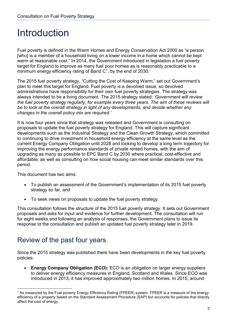## <span id="page-6-0"></span>Introduction

Fuel poverty is defined in the Warm Homes and Energy Conservation Act 2000 as "a person [who] is a member of a household living on a lower income in a home which cannot be kept warm at reasonable cost." In 2014, the Government introduced in legislation a fuel poverty target for England to improve as many fuel poor homes as is reasonably practicable to a minimum energy efficiency rating of Band  $C<sup>1</sup>$ , by the end of 2030.

The 2015 fuel poverty strategy, "Cutting the Cost of Keeping Warm," set out Government's plan to meet this target for England. Fuel poverty is a devolved issue, so devolved administrations have responsibility for their own fuel poverty strategies. The strategy was always intended to be a living document. The 2015 strategy stated: *'Government will review the fuel poverty strategy regularly, for example every three years. The aim of these reviews will be to look at the overall strategy in light of any developments, and decide whether any changes in the overall policy mix are required.'*

It is now four years since that strategy was released and Government is consulting on proposals to update the fuel poverty strategy for England. This will capture significant developments such as the Industrial Strategy and the Clean Growth Strategy, which committed to continuing to drive investment in household energy efficiency at the same level as the current Energy Company Obligation until 2028 and looking to develop a long term trajectory for improving the energy performance standards of private rented homes, with the aim of upgrading as many as possible to EPC Band C by 2030 where practical, cost-effective and affordable, as well as consulting on how social housing can meet similar standards over this period.

This document has two aims:

- To publish an assessment of the Government's implementation of its 2015 fuel poverty strategy so far, and
- To seek views on proposals to update the fuel poverty strategy.

This consultation follows the structure of the 2015 fuel poverty strategy. It sets out Government proposals and asks for input and evidence for further development. The consultation will run for eight weeks and following an analysis of responses, the Government plans to issue its response to the consultation and publish an updated fuel poverty strategy later in 2019.

### <span id="page-6-1"></span>Review of the past four years

Since the 2015 strategy was published there have been developments in the key fuel poverty policies:

• **Energy Company Obligation (ECO):** ECO is an obligation on larger energy suppliers to deliver energy efficiency measures in England, Scotland and Wales. Since ECO was introduced in 2013, it has improved approximately two million homes. In 2015, around

<span id="page-6-2"></span><sup>&</sup>lt;sup>1</sup> As measured by the Fuel poverty Energy Efficiency Rating (FPEER) system. FPEER is a measure of the energy efficiency of a property based on the Standard Assessment Procedure (SAP) but accounts for policies that directly affect the cost of energy.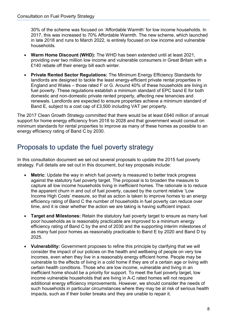30% of the scheme was focused on 'Affordable Warmth' for low income households. In 2017, this was increased to 70% Affordable Warmth. The new scheme, which launched in late 2018 and runs to March 2022, is entirely focused on low income and vulnerable households.

- **Warm Home Discount (WHD):** The WHD has been extended until at least 2021, providing over two million low income and vulnerable consumers in Great Britain with a £140 rebate off their energy bill each winter.
- **Private Rented Sector Regulations:** The Minimum Energy Efficiency Standards for landlords are designed to tackle the least energy-efficient private rental properties in England and Wales – those rated F or G. Around 40% of these households are living in fuel poverty. These regulations establish a minimum standard of EPC band E for both domestic and non-domestic private rented property, affecting new tenancies and renewals. Landlords are expected to ensure properties achieve a minimum standard of Band E, subject to a cost cap of £3,500 including VAT per property.

The 2017 Clean Growth Strategy committed that there would be at least £640 million of annual support for home energy efficiency from 2018 to 2028 and that government would consult on minimum standards for rental properties to improve as many of these homes as possible to an energy efficiency rating of Band C by 2030.

## <span id="page-7-0"></span>Proposals to update the fuel poverty strategy

In this consultation document we set out several proposals to update the 2015 fuel poverty strategy. Full details are set out in this document, but key proposals include:

- **Metric:** Update the way in which fuel poverty is measured to better track progress against the statutory fuel poverty target. The proposal is to broaden the measure to capture all low income households living in inefficient homes. The rationale is to reduce the apparent churn in and out of fuel poverty, caused by the current relative 'Low Income High Costs' measure, so that as action is taken to improve homes to an energy efficiency rating of Band C the number of households in fuel poverty can reduce over time, and it is clear whether the action we are taking is having sufficient impact.
- **Target and Milestones:** Retain the statutory fuel poverty target to ensure as many fuel poor households as is reasonably practicable are improved to a minimum energy efficiency rating of Band C by the end of 2030 and the supporting interim milestones of as many fuel poor homes as reasonably practicable to Band E by 2020 and Band D by 2025.
- **Vulnerability:** Government proposes to refine this principle by clarifying that we will consider the impact of our policies on the health and wellbeing of people on very low incomes, even when they live in a reasonably energy efficient home. People may be vulnerable to the effects of living in a cold home if they are of a certain age or living with certain health conditions. Those who are low income, vulnerable and living in an inefficient home should be a priority for support. To meet the fuel poverty target, low income vulnerable households that are living in A-C rated homes will not require additional energy efficiency improvements. However, we should consider the needs of such households in particular circumstances where they may be at risk of serious health impacts, such as if their boiler breaks and they are unable to repair it.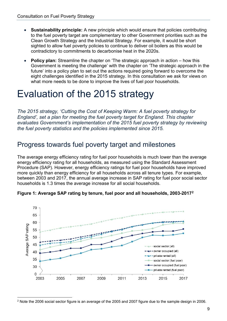- **Sustainability principle:** A new principle which would ensure that policies contributing to the fuel poverty target are complementary to other Government priorities such as the Clean Growth Strategy and the Industrial Strategy. For example, it would be short sighted to allow fuel poverty policies to continue to deliver oil boilers as this would be contradictory to commitments to decarbonise heat in the 2020s.
- **Policy plan:** Streamline the chapter on 'The strategic approach in action how this Government is meeting the challenge' with the chapter on 'The strategic approach in the future' into a policy plan to set out the actions required going forward to overcome the eight challenges identified in the 2015 strategy. In this consultation we ask for views on what more needs to be done to improve the lives of fuel poor households.

## <span id="page-8-0"></span>Evaluation of the 2015 strategy

*The 2015 strategy, 'Cutting the Cost of Keeping Warm: A fuel poverty strategy for England', set a plan for meeting the fuel poverty target for England. This chapter evaluates Government's implementation of the 2015 fuel poverty strategy by reviewing the fuel poverty statistics and the policies implemented since 2015.*

### <span id="page-8-1"></span>Progress towards fuel poverty target and milestones

The average energy efficiency rating for fuel poor households is much lower than the average energy efficiency rating for all households, as measured using the Standard Assessment Procedure (SAP). However, energy efficiency ratings for fuel poor households have improved more quickly than energy efficiency for all households across all tenure types. For example, between 2003 and 2017, the annual average increase in SAP rating for fuel poor social sector households is 1.3 times the average increase for all social households.





<span id="page-8-2"></span> <sup>2</sup> Note the 2006 social sector figure is an average of the 2005 and 2007 figure due to the sample design in 2006.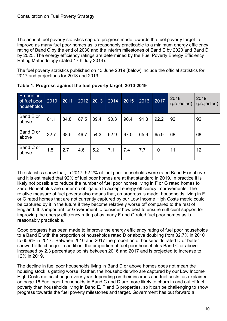The annual fuel poverty statistics capture progress made towards the fuel poverty target to improve as many fuel poor homes as is reasonably practicable to a minimum energy efficiency rating of Band C by the end of 2030 and the interim milestones of Band E by 2020 and Band D by 2025. The energy efficiency ratings are determined by the Fuel Poverty Energy Efficiency Rating Methodology (dated 17th July 2014).

The fuel poverty statistics published on 13 June 2019 (below) include the official statistics for 2017 and projections for 2018 and 2019.

| Proportion<br>of fuel poor<br>households | 2010 | 2011 | 2012 | 2013 | 2014 | 2015 | 2016 | 2017 | 2018<br>(projected) | 2019<br>(projected) |
|------------------------------------------|------|------|------|------|------|------|------|------|---------------------|---------------------|
| Band E or<br>above                       | 81.1 | 84.8 | 87.5 | 89.4 | 90.3 | 90.4 | 91.3 | 92.2 | 92                  | 92                  |
| Band D or<br>above                       | 32.7 | 38.5 | 46.7 | 54.3 | 62.9 | 67.0 | 65.9 | 65.9 | 68                  | 68                  |
| Band C or<br>above                       | 1.5  | 2.7  | 4.6  | 5.2  | 7.1  | 7.4  | 7.7  | 10   | 11                  | 12                  |

The statistics show that, in 2017, 92.2% of fuel poor households were rated Band E or above and it is estimated that 92% of fuel poor homes are at that standard in 2019. In practice it is likely not possible to reduce the number of fuel poor homes living in F or G rated homes to zero. Households are under no obligation to accept energy efficiency improvements. The relative measure of fuel poverty also means that, as progress is made, households living in F or G rated homes that are not currently captured by our Low Income High Costs metric could be captured by it in the future if they become relatively worse off compared to the rest of England. It is important for Government to consider how best to ensure sufficient support for improving the energy efficiency rating of as many F and G rated fuel poor homes as is reasonably practicable.

Good progress has been made to improve the energy efficiency rating of fuel poor households to a Band E with the proportion of households rated D or above doubling from 32.7% in 2010 to 65.9% in 2017. Between 2016 and 2017 the proportion of households rated D or better showed little change. In addition, the proportion of fuel poor households Band C or above increased by 2.3 percentage points between 2016 and 2017 and is projected to increase to 12% in 2019.

The decline in fuel poor households living in Band D or above homes does not mean the housing stock is getting worse. Rather, the households who are captured by our Low Income High Costs metric change every year depending on their incomes and fuel costs, as explained on page 16 Fuel poor households in Band C and D are more likely to churn in and out of fuel poverty than households living in Band E, F and G properties, so it can be challenging to show progress towards the fuel poverty milestones and target. Government has put forward a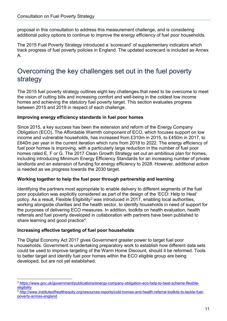proposal in this consultation to address this measurement challenge, and is considering additional policy options to continue to improve the energy efficiency of fuel poor households.

The 2015 Fuel Poverty Strategy introduced a 'scorecard' of supplementary indicators which track progress of fuel poverty policies in England. The updated scorecard is included as Annex A.

## <span id="page-10-0"></span>Overcoming the key challenges set out in the fuel poverty strategy

The 2015 fuel poverty strategy outlines eight key challenges that need to be overcome to meet the vision of cutting bills and increasing comfort and well-being in the coldest low income homes and achieving the statutory fuel poverty target. This section evaluates progress between 2015 and 2019 in respect of each challenge.

#### **Improving energy efficiency standards in fuel poor homes**

Since 2015, a key success has been the extension and reform of the Energy Company Obligation (ECO). The Affordable Warmth component of ECO, which focuses support on low income and vulnerable households, has increased from £310m in 2015, to £450m in 2017, to £640m per year in the current iteration which runs from 2018 to 2022. The energy efficiency of fuel poor homes is improving, with a particularly large reduction in the number of fuel poor homes rated E, F or G. The 2017 Clean Growth Strategy set out an ambitious plan for homes, including introducing Minimum Energy Efficiency Standards for an increasing number of private landlords and an extension of funding for energy efficiency to 2028. However, additional action is needed as we progress towards the 2030 target.

#### **Working together to help the fuel poor through partnership and learning**

Identifying the partners most appropriate to enable delivery to different segments of the fuel poor population was explicitly considered as part of the design of the 'ECO: Help to Heat' policy. As a result, Flexible Eligibility<sup>[3](#page-10-1)</sup> was introduced in 2017, enabling local authorities, working alongside charities and the health sector, to identify households in need of support for the purposes of delivering ECO measures. In addition, toolkits on health evaluation, health referrals and fuel poverty developed in collaboration with partners have been published to share learning and good practice<sup>[4](#page-10-2)</sup>.

#### **Increasing effective targeting of fuel poor households**

The Digital Economy Act 2017 gives Government greater power to target fuel poor households. Government is undertaking preparatory work to establish how different data sets could be used to improve targeting of the Warm Home Discount, should it be reformed. Tools to better target and identify fuel poor homes within the ECO eligible group are being developed, but are not yet established.

<span id="page-10-1"></span> <sup>3</sup> [https://www.gov.uk/government/publications/energy-company-obligation-eco-help-to-heat-scheme-flexible](https://www.gov.uk/government/publications/energy-company-obligation-eco-help-to-heat-scheme-flexible-eligibility)[eligibility](https://www.gov.uk/government/publications/energy-company-obligation-eco-help-to-heat-scheme-flexible-eligibility)

<span id="page-10-2"></span><sup>4</sup> [http://www.instituteofhealthequity.org/resources-reports/cold-homes-and-health-referral-toolkits-to-tackle-fuel](http://www.instituteofhealthequity.org/resources-reports/cold-homes-and-health-referral-toolkits-to-tackle-fuel-poverty-across-england)[poverty-across-england](http://www.instituteofhealthequity.org/resources-reports/cold-homes-and-health-referral-toolkits-to-tackle-fuel-poverty-across-england)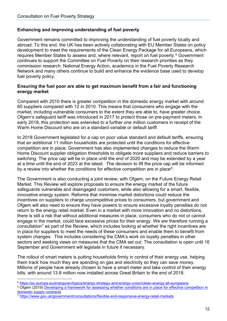#### **Enhancing and improving understanding of fuel poverty**

Government remains committed to improving the understanding of fuel poverty locally and abroad. To this end, the UK has been actively collaborating with EU Member States on policy development to meet the requirements of the Clean Energy Package for all Europeans, which requires Member States to assess and, where relevant, report on fuel poverty.<sup>[5](#page-11-0)</sup> Government continues to support the Committee on Fuel Poverty on their research priorities as they commission research. National Energy Action, academics in the Fuel Poverty Research Network and many others continue to build and enhance the evidence base used to develop fuel poverty policy.

#### **Ensuring the fuel poor are able to get maximum benefit from a fair and functioning energy market**

Compared with 2010 there is greater competition in the domestic energy market with around 60 suppliers compared with 12 in 2010. This means that consumers who engage with the market, including vulnerable consumers to the extent they are able to, have greater choice. Ofgem's safeguard tariff was introduced in 2017 to protect those on pre-payment meters. In early 2018, this protection was extended to a further one million customers in receipt of the Warm Home Discount who are on a standard variable or default tariff.

In 2018 Government legislated for a cap on poor value standard and default tariffs, ensuring that an additional 11 million households are protected until the conditions for effective competition are in place. Government has also implemented changes to reduce the Warm Home Discount supplier obligation thresholds to obligate more suppliers and reduce barriers to switching. The price cap will be in place until the end of 2020 and may be extended by a year at a time until the end of 2023 at the latest. The decision to lift the price cap will be informed by a review into whether the conditions for effective competition are in place $6$ .

The Government is also conducting a joint review, with Ofgem, on the Future Energy Retail Market. This Review will explore proposals to ensure the energy market of the future safeguards vulnerable and disengaged customers, while also allowing for a smart, flexible, innovative energy system. Reforms that minimise market distortions could reduce the incentives on suppliers to charge uncompetitive prices to consumers, but government and Ofgem will also need to ensure they have powers to ensure excessive loyalty penalties do not return to the energy retail market. Even in a market with more innovation and no distortions, there is still a risk that without additional measures in place, consumers who do not or cannot engage in the market, could face excessive prices for their energy. We are therefore running a consultation<sup>[7](#page-11-2)</sup> as part of the Review, which includes looking at whether the right incentives are in place for suppliers to meet the needs of these consumers and enable them to benefit from system changes. This includes considering the CMA's work on loyalty penalties in other sectors and seeking views on measures that the CMA set out. The consultation is open until 16 September and Government will legislate in future if necessary.

The rollout of smart meters is putting households firmly in control of their energy use, helping them track how much they are spending on gas and electricity so they can save money. Millions of people have already chosen to have a smart meter and take control of their energy bills, with around 13.8 million now installed across Great Britain to the end of 2018.

<span id="page-11-0"></span>5 <https://ec.europa.eu/energy/en/topics/energy-strategy-and-energy-union/clean-energy-all-europeans>

<span id="page-11-1"></span><sup>6</sup> Ofgem (2019) Developing a framework for assessing whether conditions are in place for effective competition in [domestic supply contracts](https://www.ofgem.gov.uk/publications-and-updates/developing-framework-assessing-whether-conditions-are-place-effective-competition-domestic-supply-contracts)

<span id="page-11-2"></span><sup>7</sup> [https://www.gov.uk/government/consultations/flexible-and-responsive-energy-retail-markets](https://eur02.safelinks.protection.outlook.com/?url=https%3A%2F%2Fwww.gov.uk%2Fgovernment%2Fconsultations%2Fflexible-and-responsive-energy-retail-markets&data=02%7C01%7CKirsten.Horton%40beis.gov.uk%7Ce98c9ef98081440db9a108d70e8d97dc%7Ccbac700502c143ebb497e6492d1b2dd8%7C0%7C0%7C636993873605420017&sdata=YRuQ6GmYz6PVW%2BAd4TY2zxFulg3tiSFkmTA8cxvwrzQ%3D&reserved=0)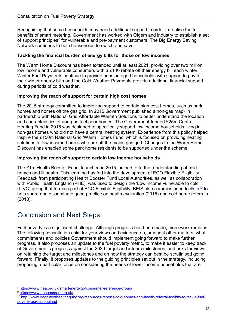Recognising that some households may need additional support in order to realise the full benefits of smart metering, Government has worked with Ofgem and industry to establish a set of support principles<sup>[8](#page-12-1)</sup> for vulnerable and pre-payment customers. The Big Energy Saving Network continues to help households to switch and save.

#### **Tackling the financial burden of energy bills for those on low incomes**

The Warm Home Discount has been extended until at least 2021, providing over two million low income and vulnerable consumers with a £140 rebate off their energy bill each winter. Winter Fuel Payments continue to provide pension aged households with support to pay for their winter energy bills and the Cold Weather Payments provide additional financial support during periods of cold weather.

#### **Improving the reach of support for certain high cost homes**

The 2015 strategy committed to improving support to certain high cost homes, such as park homes and homes off the gas grid. In 2015 Government published a non-gas map $9$  in partnership with National Grid Affordable Warmth Solutions to better understand the location and characteristics of non-gas fuel poor homes. The Government-funded £25m Central Heating Fund in 2015 was designed to specifically support low income households living in non-gas homes who did not have a central heating system. Experience from this policy helped inspire the £150m National Grid 'Warm Homes Fund' which is focused on providing heating solutions to low income homes who are off the mains gas grid. Changes to the Warm Home Discount has enabled some park home residents to be supported under the scheme.

#### **Improving the reach of support to certain low income households**

The £1m Health Booster Fund, launched in 2015, helped to further understanding of cold homes and ill health. This learning has fed into the development of ECO Flexible Eligibility. Feedback from participating Health Booster Fund Local Authorities, as well as collaboration with Public Health England (PHE), was used to design the 'Low income vulnerable to cold' (LIVC) group that forms a part of ECO Flexible Eligibility. BEIS also commissioned toolkits<sup>[10](#page-12-3)</sup> to help share and disseminate good practice on health evaluation (2015) and cold home referrals (2018).

## <span id="page-12-0"></span>Conclusion and Next Steps

Fuel poverty is a significant challenge. Although progress has been made, more work remains. The following consultation asks for your views and evidence on, amongst other matters, what commitments and policies Government should implement going forward to make further progress. It also proposes an update to the fuel poverty metric, to make it easier to keep track of Government's progress against the 2030 target and interim milestones, and asks for views on retaining the target and milestones and on how the strategy can best be scrutinised going forward. Finally, it proposes updates to the guiding principles set out in the strategy, including proposing a particular focus on considering the needs of lower income households that are

<span id="page-12-1"></span> <sup>8</sup> <https://www.nea.org.uk/smartenergygb/consumer-reference-group/>

<span id="page-12-2"></span><sup>9</sup> <https://www.nongasmap.org.uk/>

<span id="page-12-3"></span><sup>10</sup> [http://www.instituteofhealthequity.org/resources-reports/cold-homes-and-health-referral-toolkits-to-tackle-fuel](http://www.instituteofhealthequity.org/resources-reports/cold-homes-and-health-referral-toolkits-to-tackle-fuel-poverty-across-england)[poverty-across-england](http://www.instituteofhealthequity.org/resources-reports/cold-homes-and-health-referral-toolkits-to-tackle-fuel-poverty-across-england)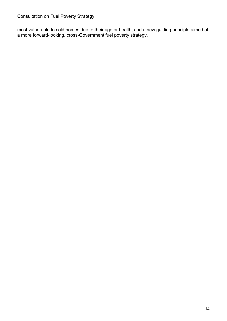most vulnerable to cold homes due to their age or health, and a new guiding principle aimed at a more forward-looking, cross-Government fuel poverty strategy.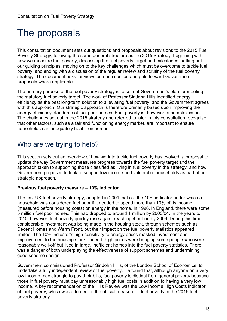## <span id="page-14-0"></span>The proposals

This consultation document sets out questions and proposals about revisions to the 2015 Fuel Poverty Strategy, following the same general structure as the 2015 Strategy: beginning with how we measure fuel poverty, discussing the fuel poverty target and milestones, setting out our guiding principles, moving on to the key challenges which must be overcome to tackle fuel poverty, and ending with a discussion of the regular review and scrutiny of the fuel poverty strategy. The document asks for views on each section and puts forward Government proposals where applicable.

The primary purpose of the fuel poverty strategy is to set out Government's plan for meeting the statutory fuel poverty target. The work of Professor Sir John Hills identified energy efficiency as the best long-term solution to alleviating fuel poverty, and the Government agrees with this approach. Our strategic approach is therefore primarily based upon improving the energy efficiency standards of fuel poor homes. Fuel poverty is, however, a complex issue. The challenges set out in the 2015 strategy and referred to later in this consultation recognise that other factors, such as a fair and functioning energy market, are important to ensure households can adequately heat their homes.

### <span id="page-14-1"></span>Who are we trying to help?

This section sets out an overview of how work to tackle fuel poverty has evolved; a proposal to update the way Government measures progress towards the fuel poverty target and the approach taken to supporting those classified as living in fuel poverty in the strategy; and how Government proposes to look to support low income and vulnerable households as part of our strategic approach.

#### **Previous fuel poverty measure – 10% indicator**

The first UK fuel poverty strategy, adopted in 2001, set out the 10% indicator under which a household was considered fuel poor if it needed to spend more than 10% of its income (measured before housing costs) on energy in the home. In 1996, in England, there were some 5 million fuel poor homes. This had dropped to around 1 million by 2003/04. In the years to 2010, however, fuel poverty quickly rose again, reaching 4 million by 2009. During this time considerable investment was being made in the housing stock, through schemes such as Decent Homes and Warm Front, but their impact on the fuel poverty statistics appeared limited. The 10% indicator's high sensitivity to energy prices masked investment and improvement to the housing stock. Indeed, high prices were bringing some people who were reasonably well-off but lived in large, inefficient homes into the fuel poverty statistics. There was a danger of both underplaying the effectiveness of support schemes and undermining good scheme design.

Government commissioned Professor Sir John Hills, of the London School of Economics, to undertake a fully independent review of fuel poverty. He found that, although anyone on a very low income may struggle to pay their bills, fuel poverty is distinct from general poverty because those in fuel poverty must pay unreasonably high fuel costs in addition to having a very low income. A key recommendation of the Hills Review was the Low Income High Costs indicator of fuel poverty, which was adopted as the official measure of fuel poverty in the 2015 fuel poverty strategy.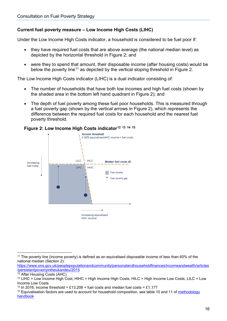#### **Current fuel poverty measure – Low Income High Costs (LIHC)**

Under the Low Income High Costs indicator, a household is considered to be fuel poor if:

- they have required fuel costs that are above average (the national median level) as depicted by the horizontal threshold in Figure 2; and
- were they to spend that amount, their disposable income (after housing costs) would be below the poverty line<sup>[11](#page-15-0)</sup> as depicted by the vertical sloping threshold in Figure 2.

The Low Income High Costs indicator (LIHC) is a dual indicator consisting of:

- The number of households that have both low incomes and high fuel costs (shown by the shaded area in the bottom left hand quadrant in Figure 2); and
- The depth of fuel poverty among these fuel poor households. This is measured through a fuel poverty gap (shown by the vertical arrows in Figure 2), which represents the difference between the required fuel costs for each household and the nearest fuel poverty threshold.



#### **Figure 2: Low Income High Costs indicator[12](#page-15-1) [13](#page-15-2) [14](#page-15-3) [15](#page-15-4)**

<span id="page-15-1"></span><sup>12</sup> After Housing Costs (AHC)

<span id="page-15-0"></span> <sup>11</sup> The poverty line (income poverty) is defined as an equivalised disposable income of less than 60% of the national median (Section 2):

[https://www.ons.gov.uk/peoplepopulationandcommunity/personalandhouseholdfinances/incomeandwealth/articles](https://www.ons.gov.uk/peoplepopulationandcommunity/personalandhouseholdfinances/incomeandwealth/articles/persistentpovertyintheukandeu/2015) [/persistentpovertyintheukandeu/2015](https://www.ons.gov.uk/peoplepopulationandcommunity/personalandhouseholdfinances/incomeandwealth/articles/persistentpovertyintheukandeu/2015)

<span id="page-15-2"></span><sup>13</sup> LIHC = Low Income High Cost, HIHC = High Income High Costs, HILC = High Income Low Costs, LILC = Low Income Low Costs

<span id="page-15-3"></span><sup>&</sup>lt;sup>14</sup> In 2016, income threshold = £13,208 + fuel costs and median fuel costs = £1,177

<span id="page-15-4"></span><sup>&</sup>lt;sup>15</sup> Equivalisation factors are used to account for household composition, see table 10 and 11 of methodology [handbook](https://www.gov.uk/government/publications/fuel-poverty-statistics-methodology-handbook)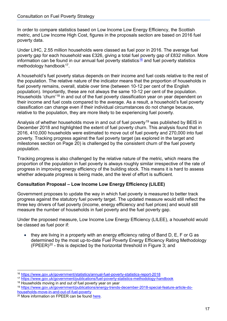In order to compare statistics based on Low Income Low Energy Efficiency, the Scottish metric, and Low Income High Cost, figures in the proposals section are based on 2016 fuel poverty data.

Under LIHC, 2.55 million households were classed as fuel poor in 2016. The average fuel poverty gap for each household was £326, giving a total fuel poverty gap of £832 million. More information can be found in our annual fuel poverty statistics  $\frac{16}{16}$  $\frac{16}{16}$  $\frac{16}{16}$  and fuel poverty statistics methodology handbook<sup>17</sup>.

A household's fuel poverty status depends on their income and fuel costs relative to the rest of the population. The relative nature of the indicator means that the proportion of households in fuel poverty remains, overall, stable over time (between 10-12 per cent of the English population). Importantly, these are not always the same 10-12 per cent of the population. Households 'churn'<sup>[18](#page-16-2)</sup> in and out of the fuel poverty classification year on year dependent on their income and fuel costs compared to the average. As a result, a household's fuel poverty classification can change even if their individual circumstances do not change because, relative to the population, they are more likely to be experiencing fuel poverty.

Analysis of whether households move in and out of fuel poverty<sup>[19](#page-16-3)</sup> was published by BEIS in December 2018 and highlighted the extent of fuel poverty churn. This analysis found that in 2016, 410,000 households were estimated to move out of fuel poverty and 270,000 into fuel poverty. Tracking progress against the fuel poverty target (as explored in the target and milestones section on Page 20) is challenged by the consistent churn of the fuel poverty population.

Tracking progress is also challenged by the relative nature of the metric, which means the proportion of the population in fuel poverty is always roughly similar irrespective of the rate of progress in improving energy efficiency of the building stock. This means it is hard to assess whether adequate progress is being made, and the level of effort is sufficient.

#### **Consultation Proposal – Low Income Low Energy Efficiency (LILEE)**

Government proposes to update the way in which fuel poverty is measured to better track progress against the statutory fuel poverty target. The updated measure would still reflect the three key drivers of fuel poverty (income, energy efficiency and fuel prices) and would still measure the number of households in fuel poverty and the fuel poverty gap.

Under the proposed measure, Low Income Low Energy Efficiency (LILEE), a household would be classed as fuel poor if:

• they are living in a property with an energy efficiency rating of Band D, E, F or G as determined by the most up-to-date Fuel Poverty Energy Efficiency Rating Methodology  $(FPEER)^{20}$  $(FPEER)^{20}$  $(FPEER)^{20}$  - this is depicted by the horizontal threshold in Figure 3; and

<span id="page-16-0"></span> <sup>16</sup> <https://www.gov.uk/government/statistics/annual-fuel-poverty-statistics-report-2018>

<span id="page-16-1"></span><sup>17</sup> <https://www.gov.uk/government/publications/fuel-poverty-statistics-methodology-handbook>

<span id="page-16-2"></span><sup>&</sup>lt;sup>18</sup> Households moving in and out of fuel poverty year on year

<span id="page-16-3"></span><sup>19</sup> [https://www.gov.uk/government/publications/energy-trends-december-2018-special-feature-article-do](https://www.gov.uk/government/publications/energy-trends-december-2018-special-feature-article-do-households-move-in-and-out-of-fuel-poverty)[households-move-in-and-out-of-fuel-poverty](https://www.gov.uk/government/publications/energy-trends-december-2018-special-feature-article-do-households-move-in-and-out-of-fuel-poverty)

<span id="page-16-4"></span><sup>20</sup> More information on FPEER can be found [here.](https://www.gov.uk/government/uploads/system/uploads/attachment_data/file/332236/fpeer_methodology.pdf)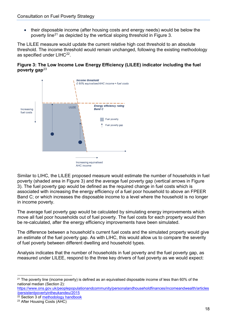• their disposable income (after housing costs and energy needs) would be below the poverty line<sup>[21](#page-17-0)</sup> as depicted by the vertical sloping threshold in Figure 3.

The LILEE measure would update the current relative high cost threshold to an absolute threshold. The income threshold would remain unchanged, following the existing methodology as specified under LIHC<sup>22</sup>.





Similar to LIHC, the LILEE proposed measure would estimate the number of households in fuel poverty (shaded area in Figure 3) and the average fuel poverty gap (vertical arrows in Figure 3). The fuel poverty gap would be defined as the required change in fuel costs which is associated with increasing the energy efficiency of a fuel poor household to above an FPEER Band C; or which increases the disposable income to a level where the household is no longer in income poverty.

The average fuel poverty gap would be calculated by simulating energy improvements which move all fuel poor households out of fuel poverty. The fuel costs for each property would then be re-calculated, after the energy efficiency improvements have been simulated.

The difference between a household's current fuel costs and the simulated property would give an estimate of the fuel poverty gap. As with LIHC, this would allow us to compare the severity of fuel poverty between different dwelling and household types.

Analysis indicates that the number of households in fuel poverty and the fuel poverty gap, as measured under LILEE, respond to the three key drivers of fuel poverty as we would expect:

[https://www.ons.gov.uk/peoplepopulationandcommunity/personalandhouseholdfinances/incomeandwealth/articles](https://www.ons.gov.uk/peoplepopulationandcommunity/personalandhouseholdfinances/incomeandwealth/articles/persistentpovertyintheukandeu/2015) [/persistentpovertyintheukandeu/2015](https://www.ons.gov.uk/peoplepopulationandcommunity/personalandhouseholdfinances/incomeandwealth/articles/persistentpovertyintheukandeu/2015)

<span id="page-17-0"></span> $21$  The poverty line (income poverty) is defined as an equivalised disposable income of less than 60% of the national median (Section 2):

<span id="page-17-1"></span><sup>&</sup>lt;sup>22</sup> Section 3 of **methodology handbook** 

<span id="page-17-2"></span><sup>23</sup> After Housing Costs (AHC)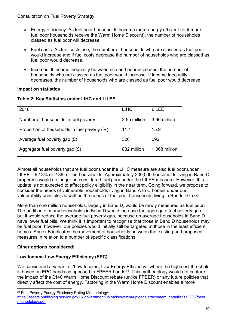- Energy efficiency: As fuel poor households become more energy efficient (or if more fuel poor households receive the Warm Home Discount), the number of households classed as fuel poor will decrease.
- Fuel costs: As fuel costs rise, the number of households who are classed as fuel poor would increase and if fuel costs decrease the number of households who are classed as fuel poor would decrease.
- Incomes: If income inequality between rich and poor increases, the number of households who are classed as fuel poor would increase. If income inequality decreases, the number of households who are classed as fuel poor would decrease.

#### **Impact on statistics**

|  | Table 2: Key Statistics under LIHC and LILEE |  |  |
|--|----------------------------------------------|--|--|
|--|----------------------------------------------|--|--|

| 2016                                         | <b>LIHC</b>  | LILEE         |
|----------------------------------------------|--------------|---------------|
| Number of households in fuel poverty         | 2.55 million | 3.66 million  |
| Proportion of households in fuel poverty (%) | 11.1         | 15.9          |
| Average fuel poverty gap $(E)$               | 326          | 292           |
| Aggregate fuel poverty gap $(E)$             | 832 million  | 1,068 million |

Almost all households that are fuel poor under the LIHC measure are also fuel poor under LILEE – 92.3% or 2.36 million households. Approximately 200,000 households living in Band C properties would no longer be considered fuel poor under the LILEE measure. However, this update is not expected to affect policy eligibility in the near term. Going forward, we propose to consider the needs of vulnerable households living in Band A to C homes under our vulnerability principle, as well as the needs of fuel poor households living in Bands D to G.

More than one million households, largely in Band D, would be newly measured as fuel poor. The addition of many households in Band D would increase the aggregate fuel poverty gap. but it would reduce the average fuel poverty gap, because on average households in Band D have lower fuel bills. We think it is important to recognise that those in Band D households may be fuel poor; however, our policies would initially still be targeted at those in the least efficient homes. Annex B indicates the movement of households between the existing and proposed measures in relation to a number of specific classifications.

#### **Other options considered:**

#### **Low Income Low Energy Efficiency (EPC)**

We considered a variant of 'Low Income, Low Energy Efficiency', where the high cost threshold is based on EPC bands as opposed to FPEER bands $^{24}$  $^{24}$  $^{24}$ . This methodology would not capture the impact of the £140 Warm Home Discount rebate (unlike FPEER) or any future policies that directly affect the cost of energy. Factoring in the Warm Home Discount enables a more

<span id="page-18-0"></span> <sup>24</sup> Fuel Poverty Energy Efficiency Rating Methodology:

https://assets.publishing.service.gov.uk/government/uploads/system/uploads/attachment\_data/file/332236/fpeer [methodology.pdf](https://assets.publishing.service.gov.uk/government/uploads/system/uploads/attachment_data/file/332236/fpeer_methodology.pdf)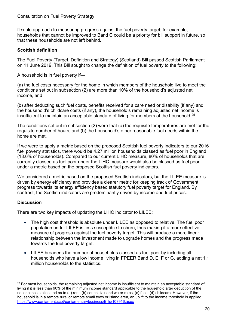flexible approach to measuring progress against the fuel poverty target; for example, households that cannot be improved to Band C could be a priority for bill support in future, so that these households are not left behind.

#### **Scottish definition**

The Fuel Poverty (Target, Definition and Strategy) (Scotland) Bill passed Scottish Parliament on 11 June 2019. This Bill sought to change the definition of fuel poverty to the following:

A household is in fuel poverty if—

(a) the fuel costs necessary for the home in which members of the household live to meet the conditions set out in subsection (2) are more than 10% of the household's adjusted net income, and

(b) after deducting such fuel costs, benefits received for a care need or disability (if any) and the household's childcare costs (if any), the household's remaining adjusted net income is insufficient to maintain an acceptable standard of living for members of the household.<sup>[25](#page-19-0)</sup>

The conditions set out in subsection (2) were that (a) the requisite temperatures are met for the requisite number of hours, and (b) the household's other reasonable fuel needs within the home are met.

If we were to apply a metric based on the proposed Scottish fuel poverty indicators to our 2016 fuel poverty statistics, there would be 4.27 million households classed as fuel poor in England (18.6% of households). Compared to our current LIHC measure, 80% of households that are currently classed as fuel poor under the LIHC measure would also be classed as fuel poor under a metric based on the proposed Scottish fuel poverty indicators.

We considered a metric based on the proposed Scottish indicators, but the LILEE measure is driven by energy efficiency and provides a clearer metric for keeping track of Government progress towards its energy efficiency based statutory fuel poverty target for England. By contrast, the Scottish indicators are predominantly driven by income and fuel prices.

#### **Discussion**

There are two key impacts of updating the LIHC indicator to LILEE:

- The high cost threshold is absolute under LILEE as opposed to relative. The fuel poor population under LILEE is less susceptible to churn, thus making it a more effective measure of progress against the fuel poverty target. This will produce a more linear relationship between the investment made to upgrade homes and the progress made towards the fuel poverty target.
- LILEE broadens the number of households classed as fuel poor by including all households who have a low income living in FPEER Band D, E, F or G, adding a net 1.1 million households to the statistics.

<span id="page-19-0"></span><sup>&</sup>lt;sup>25</sup> For most households, the remaining adjusted net income is insufficient to maintain an acceptable standard of living if it is less than 90% of the minimum income standard applicable to the household after deduction of the notional costs allocated as to (a) rent, (b) council tax and water rates, (c) fuel, (d) childcare. However, if the household is in a remote rural or remote small town or island area, an uplift to the income threshold is applied. <https://www.parliament.scot/parliamentarybusiness/Bills/108916.aspx>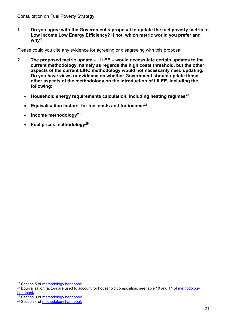**1. Do you agree with the Government's proposal to update the fuel poverty metric to Low Income Low Energy Efficiency? If not, which metric would you prefer and why?**

Please could you cite any evidence for agreeing or disagreeing with this proposal.

- **2. The proposed metric update – LILEE – would necessitate certain updates to the current methodology, namely as regards the high costs threshold, but the other aspects of the current LIHC methodology would not necessarily need updating. Do you have views or evidence on whether Government should update those other aspects of the methodology on the introduction of LILEE, including the following:**
	- **Household energy requirements calculation, including heating regimes[26](#page-20-0)**
	- **Equivalisation factors, for fuel costs and for income[27](#page-20-1)**
	- **Income methodolog[y28](#page-20-2)**
	- **Fuel prices methodology[29](#page-20-3)**

<span id="page-20-0"></span><sup>&</sup>lt;sup>26</sup> Section 5 of [methodology handbook](https://www.gov.uk/government/publications/fuel-poverty-statistics-methodology-handbook)

<span id="page-20-1"></span><sup>&</sup>lt;sup>27</sup> Equivalisation factors are used to account for household composition, see table 10 and 11 of methodology [handbook](https://www.gov.uk/government/publications/fuel-poverty-statistics-methodology-handbook)

<span id="page-20-2"></span> $28$  Section 3 of [methodology handbook](https://www.gov.uk/government/publications/fuel-poverty-statistics-methodology-handbook)

<span id="page-20-3"></span><sup>29</sup> Section 4 of [methodology handbook](https://www.gov.uk/government/publications/fuel-poverty-statistics-methodology-handbook)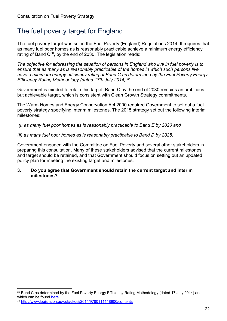## <span id="page-21-0"></span>The fuel poverty target for England

The fuel poverty target was set in the Fuel Poverty (England) Regulations 2014. It requires that as many fuel poor homes as is reasonably practicable achieve a minimum energy efficiency rating of Band  $C^{30}$  $C^{30}$  $C^{30}$ , by the end of 2030. The legislation reads:

*The objective for addressing the situation of persons in England who live in fuel poverty is to ensure that as many as is reasonably practicable of the homes in which such persons live have a minimum energy efficiency rating of Band C as determined by the Fuel Poverty Energy Efficiency Rating Methodology (dated 17th July 2014).[31](#page-21-2)*

Government is minded to retain this target. Band C by the end of 2030 remains an ambitious but achievable target, which is consistent with Clean Growth Strategy commitments.

The Warm Homes and Energy Conservation Act 2000 required Government to set out a fuel poverty strategy specifying interim milestones. The 2015 strategy set out the following interim milestones:

*(i) as many fuel poor homes as is reasonably practicable to Band E by 2020 and* 

*(ii) as many fuel poor homes as is reasonably practicable to Band D by 2025.*

Government engaged with the Committee on Fuel Poverty and several other stakeholders in preparing this consultation. Many of these stakeholders advised that the current milestones and target should be retained, and that Government should focus on setting out an updated policy plan for meeting the existing target and milestones.

**3. Do you agree that Government should retain the current target and interim milestones?**

<span id="page-21-1"></span><sup>&</sup>lt;sup>30</sup> Band C as determined by the Fuel Poverty Energy Efficiency Rating Methodology (dated 17 July 2014) and which can be found [here.](https://assets.publishing.service.gov.uk/government/uploads/system/uploads/attachment_data/file/332236/fpeer_methodology.pdf)

<span id="page-21-2"></span><sup>31</sup> <http://www.legislation.gov.uk/ukdsi/2014/9780111118900/contents>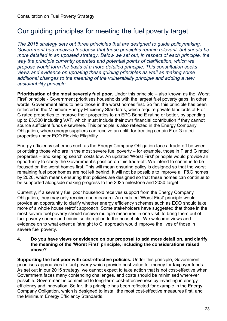## <span id="page-22-0"></span>Our guiding principles for meeting the fuel poverty target

*The 2015 strategy sets out three principles that are designed to guide policymaking. Government has received feedback that these principles remain relevant, but should be more detailed in an updated strategy. Below we set out, in respect of each principle, the way the principle currently operates and potential points of clarification, which we propose would form the basis of a more detailed principle. This consultation seeks views and evidence on updating these guiding principles as well as making some additional changes to the meaning of the vulnerability principle and adding a new sustainability principle.*

**Prioritisation of the most severely fuel poor.** Under this principle – also known as the 'Worst First' principle - Government prioritises households with the largest fuel poverty gaps. In other words, Government aims to help those in the worst homes first. So far, this principle has been reflected in the Minimum Energy Efficiency Standards, which require private landlords of F or G rated properties to improve their properties to an EPC Band E rating or better, by spending up to £3,500 including VAT, which must include their own financial contribution if they cannot source sufficient funds elsewhere. This principle is also reflected in the Energy Company Obligation, where energy suppliers can receive an uplift for treating certain F or G rated properties under ECO Flexible Eligibility.

Energy efficiency schemes such as the Energy Company Obligation face a trade-off between prioritising those who are in the most severe fuel poverty – for example, those in F and G rated properties – and keeping search costs low. An updated 'Worst First' principle would provide an opportunity to clarify the Government's position on this trade-off. We intend to continue to be focused on the worst homes first. This will mean ensuring policy is designed so that the worst remaining fuel poor homes are not left behind. It will not be possible to improve all F&G homes by 2020, which means ensuring that policies are designed so that these homes can continue to be supported alongside making progress to the 2025 milestone and 2030 target.

Currently, if a severely fuel poor household receives support from the Energy Company Obligation, they may only receive one measure. An updated 'Worst First' principle would provide an opportunity to clarify whether energy efficiency schemes such as ECO should take more of a whole house retrofit approach. Some stakeholders have suggested that those in the most severe fuel poverty should receive multiple measures in one visit, to bring them out of fuel poverty sooner and minimise disruption to the household. We welcome views and evidence on to what extent a 'straight to C' approach would improve the lives of those in severe fuel poverty.

#### **4. Do you have views or evidence on our proposal to add more detail on, and clarify, the meaning of the 'Worst First' principle, including the considerations raised above?**

**Supporting the fuel poor with cost-effective policies.** Under this principle, Government prioritises approaches to fuel poverty which provide best value for money for taxpayer funds. As set out in our 2015 strategy, we cannot expect to take action that is not cost-effective when Government faces many contending challenges, and costs should be minimised wherever possible. Government is committed to long-term cost-effectiveness by investing in energy efficiency and innovation. So far, this principle has been reflected for example in the Energy Company Obligation, which is designed to install the most cost-effective measures first, and the Minimum Energy Efficiency Standards.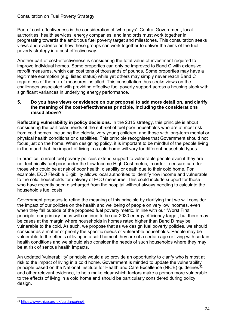Part of cost-effectiveness is the consideration of 'who pays'. Central Government, local authorities, health services, energy companies, and landlords must work together in progressing towards the ambitious fuel poverty target and milestones. This consultation seeks views and evidence on how these groups can work together to deliver the aims of the fuel poverty strategy in a cost-effective way.

Another part of cost-effectiveness is considering the total value of investment required to improve individual homes. Some properties can only be improved to Band C with extensive retrofit measures, which can cost tens of thousands of pounds. Some properties may have a legitimate exemption (e.g. listed status) while yet others may simply never reach Band C regardless of the mix of measures installed. This consultation thus seeks views on the challenges associated with providing effective fuel poverty support across a housing stock with significant variances in underlying energy performance.

#### **5. Do you have views or evidence on our proposal to add more detail on, and clarify, the meaning of the cost-effectiveness principle, including the considerations raised above?**

**Reflecting vulnerability in policy decisions.** In the 2015 strategy, this principle is about considering the particular needs of the sub-set of fuel poor households who are at most risk from cold homes, including the elderly, very young children, and those with long-term mental or physical health conditions or disabilities. This principle recognises that Government should not focus just on the home. When designing policy, it is important to be mindful of the people living in them and that the impact of living in a cold home will vary for different household types.

In practice, current fuel poverty policies extend support to vulnerable people even if they are not technically fuel poor under the Low Income High Cost metric, in order to ensure care for those who could be at risk of poor health, disability or death due to their cold home. For example, ECO Flexible Eligibility allows local authorities to identify 'low income and vulnerable to the cold' households for delivery of ECO measures. This could include support for those who have recently been discharged from the hospital without always needing to calculate the household's fuel costs.

Government proposes to refine the meaning of this principle by clarifying that we will consider the impact of our policies on the health and wellbeing of people on very low incomes, even when they fall outside of the proposed fuel poverty metric. In line with our 'Worst First' principle, our primary focus will continue to be our 2030 energy efficiency target, but there may be cases at the margin where households in homes rated higher than Band D may be vulnerable to the cold. As such, we propose that as we design fuel poverty policies, we should consider as a matter of priority the specific needs of vulnerable households. People may be vulnerable to the effects of living in a cold home if they are of a certain age or living with certain health conditions and we should also consider the needs of such households where they may be at risk of serious health impacts.

An updated 'vulnerability' principle would also provide an opportunity to clarify who is most at risk to the impact of living in a cold home. Government is minded to update the vulnerability principle based on the National Institute for Health and Care Excellence (NICE) guidelines<sup>[32](#page-23-0)</sup> and other relevant evidence, to help make clear which factors make a person more vulnerable to the effects of living in a cold home and should be particularly considered during policy design.

<span id="page-23-0"></span> <sup>32</sup> <https://www.nice.org.uk/guidance/ng6>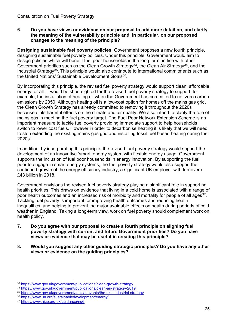#### **6. Do you have views or evidence on our proposal to add more detail on, and clarify, the meaning of the vulnerability principle and, in particular, on our proposed changes to the meaning of the principle?**

**Designing sustainable fuel poverty policies**. Government proposes a new fourth principle, designing sustainable fuel poverty policies. Under this principle, Government would aim to design policies which will benefit fuel poor households in the long term, in line with other Government priorities such as the Clean Growth Strategy<sup>33</sup>, the Clean Air Strategy<sup>[34](#page-24-1)</sup>, and the Industrial Strategy<sup>[35](#page-24-2)</sup>. This principle would also contribute to international commitments such as the United Nations' Sustainable Development Goals<sup>36</sup>.

By incorporating this principle, the revised fuel poverty strategy would support clean, affordable energy for all. It would be short sighted for the revised fuel poverty strategy to support, for example, the installation of heating oil when the Government has committed to net zero carbon emissions by 2050. Although heating oil is a low-cost option for homes off the mains gas grid, the Clean Growth Strategy has already committed to removing it throughout the 2020s because of its harmful effects on the climate and air quality. We also intend to clarify the role of mains gas in meeting the fuel poverty target. The Fuel Poor Network Extension Scheme is an important measure to tackle fuel poverty providing immediate support to help households switch to lower cost fuels. However in order to decarbonise heating it is likely that we will need to stop extending the existing mains gas grid and installing fossil fuel based heating during the 2020s.

In addition, by incorporating this principle, the revised fuel poverty strategy would support the development of an innovative 'smart' energy system with flexible energy usage. Government supports the inclusion of fuel poor households in energy innovation. By supporting the fuel poor to engage in smart energy systems, the fuel poverty strategy would also support the continued growth of the energy efficiency industry, a significant UK employer with turnover of £43 billion in 2018.

Government envisions the revised fuel poverty strategy playing a significant role in supporting health priorities. This draws on evidence that living in a cold home is associated with a range of poor health outcomes and an increased risk of morbidity and mortality for people of all ages<sup>37</sup>. Tackling fuel poverty is important for improving health outcomes and reducing health inequalities, and helping to prevent the major avoidable effects on health during periods of cold weather in England. Taking a long-term view, work on fuel poverty should complement work on health policy.

- **7. Do you agree with our proposal to create a fourth principle on aligning fuel poverty strategy with current and future Government priorities? Do you have views or evidence that may be useful in creating this principle?**
- **8. Would you suggest any other guiding strategic principles? Do you have any other views or evidence on the guiding principles?**

<span id="page-24-0"></span> <sup>33</sup> <https://www.gov.uk/government/publications/clean-growth-strategy>

<span id="page-24-1"></span><sup>34</sup> <https://www.gov.uk/government/publications/clean-air-strategy-2019>

<span id="page-24-2"></span><sup>35</sup> <https://www.gov.uk/government/topical-events/the-uks-industrial-strategy>

<span id="page-24-3"></span><sup>36</sup> <https://www.un.org/sustainabledevelopment/energy/>

<span id="page-24-4"></span><sup>37</sup> <https://www.nice.org.uk/guidance/ng6>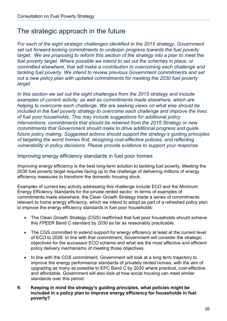### <span id="page-25-0"></span>The strategic approach in the future

*For each of the eight strategic challenges identified in the 2015 strategy, Government set out forward-looking commitments to underpin progress towards the fuel poverty target. We are proposing to reform this section of the strategy into a plan to meet the*  fuel poverty target. Where possible we intend to set out the schemes in place, or *committed elsewhere, that will make a contribution to overcoming each challenge and tackling fuel poverty. We intend to review previous Government commitments and set out a new policy plan with updated commitments for meeting the 2030 fuel poverty target.*

*In this section we set out the eight challenges from the 2015 strategy and include examples of current activity, as well as commitments made elsewhere, which are helping to overcome each challenge. We are seeking views on what else should be included in the fuel poverty strategy to overcome each challenge and improve the lives of fuel poor households. This may include suggestions for additional policy interventions, commitments that should be retained from the 2015 Strategy or new commitments that Government should make to drive additional progress and guide future policy making. Suggested actions should support the strategy's guiding principles of targeting the worst homes first, designing cost-effective policies, and reflecting vulnerability in policy decisions. Please provide evidence to support your response.*

#### <span id="page-25-1"></span>Improving energy efficiency standards in fuel poor homes

Improving energy efficiency is the best long-term solution to tackling fuel poverty. Meeting the 2030 fuel poverty target requires facing up to the challenge of delivering millions of energy efficiency measures to transform the domestic housing stock.

Examples of current key activity addressing this challenge include ECO and the Minimum Energy Efficiency Standards for the private rented sector. In terms of examples of commitments made elsewhere, the Clean Growth Strategy made a series of commitments relevant to home energy efficiency, which we intend to adopt as part of a refreshed policy plan to improve the energy efficiency standards in fuel poor households:

- The Clean Growth Strategy (CGS) reaffirmed that fuel poor households should achieve this FPEER Band C standard by 2030 as far as reasonably practicable.
- The CGS committed to extend support for energy efficiency at least at the current level of ECO to 2028. In line with that commitment, Government will consider the strategic objectives for the successor ECO scheme and what are the most effective and efficient policy delivery mechanisms of meeting those objectives.
- In line with the CGS commitment, Government will look at a long term trajectory to improve the energy performance standards of privately rented homes, with the aim of upgrading as many as possible to EPC Band C by 2030 where practical, cost-effective and affordable. Government will also look at how social housing can meet similar standards over this period.
- **9. Keeping in mind the strategy's guiding principles, what policies might be included in a policy plan to improve energy efficiency for households in fuel poverty?**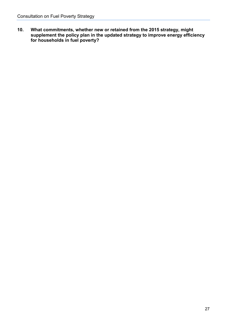**10. What commitments, whether new or retained from the 2015 strategy, might supplement the policy plan in the updated strategy to improve energy efficiency for households in fuel poverty?**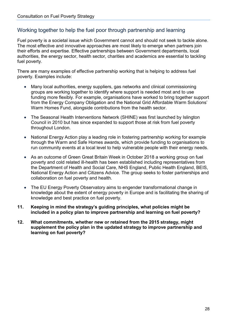#### <span id="page-27-0"></span>Working together to help the fuel poor through partnership and learning

Fuel poverty is a societal issue which Government cannot and should not seek to tackle alone. The most effective and innovative approaches are most likely to emerge when partners join their efforts and expertise. Effective partnerships between Government departments, local authorities, the energy sector, health sector, charities and academics are essential to tackling fuel poverty.

There are many examples of effective partnership working that is helping to address fuel poverty. Examples include:

- Many local authorities, energy suppliers, gas networks and clinical commissioning groups are working together to identify where support is needed most and to use funding more flexibly. For example, organisations have worked to bring together support from the Energy Company Obligation and the National Grid Affordable Warm Solutions' Warm Homes Fund, alongside contributions from the health sector.
- The Seasonal Health Interventions Network (SHINE) was first launched by Islington Council in 2010 but has since expanded to support those at risk from fuel poverty throughout London.
- National Energy Action play a leading role in fostering partnership working for example through the Warm and Safe Homes awards, which provide funding to organisations to run community events at a local level to help vulnerable people with their energy needs.
- As an outcome of Green Great Britain Week in October 2018 a working group on fuel poverty and cold related ill-health has been established including representatives from the Department of Health and Social Care, NHS England, Public Health England, BEIS, National Energy Action and Citizens Advice. The group seeks to foster partnerships and collaboration on fuel poverty and health.
- The EU Energy Poverty Observatory aims to engender transformational change in knowledge about the extent of energy poverty in Europe and is facilitating the sharing of knowledge and best practice on fuel poverty.
- **11. Keeping in mind the strategy's guiding principles, what policies might be included in a policy plan to improve partnership and learning on fuel poverty?**
- **12. What commitments, whether new or retained from the 2015 strategy, might supplement the policy plan in the updated strategy to improve partnership and learning on fuel poverty?**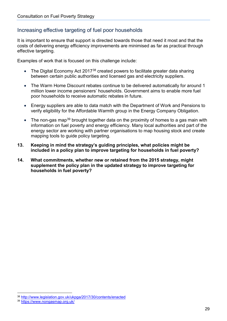#### <span id="page-28-0"></span>Increasing effective targeting of fuel poor households

It is important to ensure that support is directed towards those that need it most and that the costs of delivering energy efficiency improvements are minimised as far as practical through effective targeting.

Examples of work that is focused on this challenge include:

- The Digital Economy Act 2017<sup>[38](#page-28-1)</sup> created powers to facilitate greater data sharing between certain public authorities and licensed gas and electricity suppliers.
- The Warm Home Discount rebates continue to be delivered automatically for around 1 million lower income pensioners' households. Government aims to enable more fuel poor households to receive automatic rebates in future.
- Energy suppliers are able to data match with the Department of Work and Pensions to verify eligibility for the Affordable Warmth group in the Energy Company Obligation.
- The non-gas map<sup>[39](#page-28-2)</sup> brought together data on the proximity of homes to a gas main with information on fuel poverty and energy efficiency. Many local authorities and part of the energy sector are working with partner organisations to map housing stock and create mapping tools to guide policy targeting.
- **13. Keeping in mind the strategy's guiding principles, what policies might be included in a policy plan to improve targeting for households in fuel poverty?**
- **14. What commitments, whether new or retained from the 2015 strategy, might supplement the policy plan in the updated strategy to improve targeting for households in fuel poverty?**

<span id="page-28-1"></span> <sup>38</sup> <http://www.legislation.gov.uk/ukpga/2017/30/contents/enacted>

<span id="page-28-2"></span><sup>39</sup> <https://www.nongasmap.org.uk/>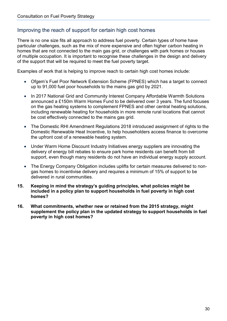#### <span id="page-29-0"></span>Improving the reach of support for certain high cost homes

There is no one size fits all approach to address fuel poverty. Certain types of home have particular challenges, such as the mix of more expensive and often higher carbon heating in homes that are not connected to the main gas grid, or challenges with park homes or houses of multiple occupation. It is important to recognise these challenges in the design and delivery of the support that will be required to meet the fuel poverty target.

Examples of work that is helping to improve reach to certain high cost homes include:

- Ofgem's Fuel Poor Network Extension Scheme (FPNES) which has a target to connect up to 91,000 fuel poor households to the mains gas grid by 2021.
- In 2017 National Grid and Community Interest Company Affordable Warmth Solutions announced a £150m Warm Homes Fund to be delivered over 3 years. The fund focuses on the gas heating systems to complement FPNES and other central heating solutions, including renewable heating for households in more remote rural locations that cannot be cost effectively connected to the mains gas grid.
- The Domestic RHI Amendment Regulations 2018 introduced assignment of rights to the Domestic Renewable Heat Incentive, to help householders access finance to overcome the upfront cost of a renewable heating system.
- Under Warm Home Discount Industry Initiatives energy suppliers are innovating the delivery of energy bill rebates to ensure park home residents can benefit from bill support, even though many residents do not have an individual energy supply account.
- The Energy Company Obligation includes uplifts for certain measures delivered to nongas homes to incentivise delivery and requires a minimum of 15% of support to be delivered in rural communities.
- **15. Keeping in mind the strategy's guiding principles, what policies might be included in a policy plan to support households in fuel poverty in high cost homes?**
- **16. What commitments, whether new or retained from the 2015 strategy, might supplement the policy plan in the updated strategy to support households in fuel poverty in high cost homes?**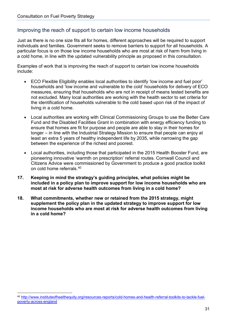#### <span id="page-30-0"></span>Improving the reach of support to certain low income households

Just as there is no one size fits all for homes, different approaches will be required to support individuals and families. Government seeks to remove barriers to support for all households. A particular focus is on those low income households who are most at risk of harm from living in a cold home, in line with the updated vulnerability principle as proposed in this consultation.

Examples of work that is improving the reach of support to certain low income households include:

- ECO Flexible Eligibility enables local authorities to identify 'low income and fuel poor' households and 'low income and vulnerable to the cold' households for delivery of ECO measures, ensuring that households who are not in receipt of means tested benefits are not excluded. Many local authorities are working with the health sector to set criteria for the identification of households vulnerable to the cold based upon risk of the impact of living in a cold home.
- Local authorities are working with Clinical Commissioning Groups to use the Better Care Fund and the Disabled Facilities Grant in combination with energy efficiency funding to ensure that homes are fit for purpose and people are able to stay in their homes for longer – in line with the Industrial Strategy Mission to ensure that people can enjoy at least an extra 5 years of healthy independent life by 2035, while narrowing the gap between the experience of the richest and poorest.
- Local authorities, including those that participated in the 2015 Health Booster Fund, are pioneering innovative 'warmth on prescription' referral routes. Cornwall Council and Citizens Advice were commissioned by Government to produce a good practice toolkit on cold home referrals. [40](#page-30-1)
- **17. Keeping in mind the strategy's guiding principles, what policies might be included in a policy plan to improve support for low income households who are most at risk for adverse health outcomes from living in a cold home?**
- **18. What commitments, whether new or retained from the 2015 strategy, might supplement the policy plan in the updated strategy to improve support for low income households who are most at risk for adverse health outcomes from living in a cold home?**

<span id="page-30-1"></span> <sup>40</sup> [http://www.instituteofhealthequity.org/resources-reports/cold-homes-and-health-referral-toolkits-to-tackle-fuel](http://www.instituteofhealthequity.org/resources-reports/cold-homes-and-health-referral-toolkits-to-tackle-fuel-poverty-across-england)[poverty-across-england](http://www.instituteofhealthequity.org/resources-reports/cold-homes-and-health-referral-toolkits-to-tackle-fuel-poverty-across-england)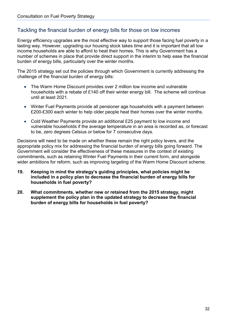#### <span id="page-31-0"></span>Tackling the financial burden of energy bills for those on low incomes

Energy efficiency upgrades are the most effective way to support those facing fuel poverty in a lasting way. However, upgrading our housing stock takes time and it is important that all low income households are able to afford to heat their homes. This is why Government has a number of schemes in place that provide direct support in the interim to help ease the financial burden of energy bills, particularly over the winter months.

The 2015 strategy set out the policies through which Government is currently addressing the challenge of the financial burden of energy bills:

- The Warm Home Discount provides over 2 million low income and vulnerable households with a rebate of £140 off their winter energy bill. The scheme will continue until at least 2021.
- Winter Fuel Payments provide all pensioner age households with a payment between £200-£300 each winter to help older people heat their homes over the winter months.
- Cold Weather Payments provide an additional £25 payment to low income and vulnerable households if the average temperature in an area is recorded as, or forecast to be, zero degrees Celsius or below for 7 consecutive days.

Decisions will need to be made on whether these remain the right policy levers, and the appropriate policy mix for addressing the financial burden of energy bills going forward. The Government will consider the effectiveness of these measures in the context of existing commitments, such as retaining Winter Fuel Payments in their current form, and alongside wider ambitions for reform, such as improving targeting of the Warm Home Discount scheme.

- **19. Keeping in mind the strategy's guiding principles, what policies might be included in a policy plan to decrease the financial burden of energy bills for households in fuel poverty?**
- **20. What commitments, whether new or retained from the 2015 strategy, might supplement the policy plan in the updated strategy to decrease the financial burden of energy bills for households in fuel poverty?**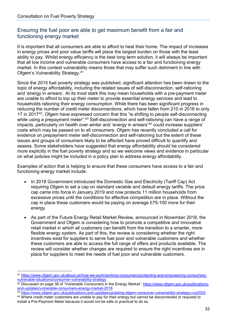#### <span id="page-32-0"></span>Ensuring the fuel poor are able to get maximum benefit from a fair and functioning energy market

It is important that all consumers are able to afford to heat their home. The impact of increases in energy prices and poor value tariffs will place the largest burden on those with the least ability to pay. Whilst energy efficiency is the best long term solution, it will always be important that all low income and vulnerable consumers have access to a fair and functioning energy market. In this context vulnerability means those that may suffer such detriment in line with Ofgem's Vulnerability Strategy.[41](#page-32-1)

Since the 2015 fuel poverty strategy was published, significant attention has been drawn to the topic of energy affordability, including the related issues of self-disconnection, self-rationing and 'energy in arrears'. At its most stark this may mean households with a pre-payment meter are unable to afford to top up their meter to provide essential energy services and lead to households rationing their energy consumption. While there has been significant progress in reducing the number of credit meter disconnections, which have fallen from 210 in 2016 to only 17 in 2017<sup>42</sup>, Ofgem have expressed concern that this "is shifting to people self-disconnecting while using a prepayment meter".<sup>[43](#page-32-3)</sup> Self-disconnection and self-rationing can have a range of impacts, particularly on health over winter and 'energy in arrears'[44](#page-32-4) could increase suppliers' costs which may be passed on to all consumers. Ofgem has recently concluded a call for evidence on prepayment meter self-disconnection and self-rationing but the extent of these issues and groups of consumers likely to be affected have proved difficult to quantify and assess. Some stakeholders have suggested that energy affordability should be considered more explicitly in the fuel poverty strategy and so we welcome views and evidence in particular on what policies might be included in a policy plan to address energy affordability.

Examples of action that is helping to ensure that these consumers have access to a fair and functioning energy market include:

- In 2018 Government introduced the Domestic Gas and Electricity (Tariff Cap) Act requiring Ofgem to set a cap on standard variable and default energy tariffs. The price cap came into force in January 2019 and now protects 11 million households from excessive prices until the conditions for effective competition are in place. Without the cap in place these customers would be paying on average £75-100 more for their energy.
- As part of the Future Energy Retail Market Review, announced in November 2018, the Government and Ofgem is considering how to promote a competitive and innovative retail market in which all customers can benefit from the transition to a smarter, more flexible energy system. As part of this, the review is considering whether the right incentives exist for suppliers to serve fuel poor and vulnerable customers and whether these customers are able to access the full range of offers and products available. The review will consider whether changes are required to ensure the right incentives are in place for suppliers to meet the needs of fuel poor and vulnerable customers.

<span id="page-32-1"></span> <sup>41</sup> [https://www.ofgem.gov.uk/about-us/how-we-work/working-consumers/protecting-and-empowering-consumers](https://www.ofgem.gov.uk/about-us/how-we-work/working-consumers/protecting-and-empowering-consumers-vulnerable-situations/consumer-vulnerability-strategy)[vulnerable-situations/consumer-vulnerability-strategy](https://www.ofgem.gov.uk/about-us/how-we-work/working-consumers/protecting-and-empowering-consumers-vulnerable-situations/consumer-vulnerability-strategy)

<span id="page-32-2"></span><sup>42</sup> Discussed on page 38 of 'Vulnerable Consumers in the Energy Market': [https://www.ofgem.gov.uk/publications](https://www.ofgem.gov.uk/publications-and-updates/vulnerable-consumers-energy-market-2018)[and-updates/vulnerable-consumers-energy-market-2018](https://www.ofgem.gov.uk/publications-and-updates/vulnerable-consumers-energy-market-2018)

<span id="page-32-4"></span><span id="page-32-3"></span><sup>43</sup> <https://www.ofgem.gov.uk/publications-and-updates/updating-ofgem-consumer-vulnerability-strategy-cvs2025> <sup>44</sup> Where credit meter customers are unable to pay for their energy but cannot be disconnected or required to install a Pre-Payment Meter because it would not be safe or practical to do so.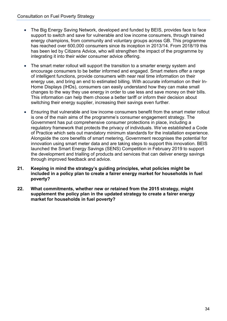- The Big Energy Saving Network, developed and funded by BEIS, provides face to face support to switch and save for vulnerable and low income consumers, through trained energy champions, from community and voluntary groups across GB. This programme has reached over 600,000 consumers since its inception in 2013/14. From 2018/19 this has been led by Citizens Advice, who will strengthen the impact of the programme by integrating it into their wider consumer advice offering.
- The smart meter rollout will support the transition to a smarter energy system and encourage consumers to be better informed and engaged. Smart meters offer a range of intelligent functions, provide consumers with near real time information on their energy use, and bring an end to estimated billing. With accurate information on their In-Home Displays (IHDs), consumers can easily understand how they can make small changes to the way they use energy in order to use less and save money on their bills. This information can help them choose a better tariff or inform their decision about switching their energy supplier, increasing their savings even further.
- Ensuring that vulnerable and low income consumers benefit from the smart meter rollout is one of the main aims of the programme's consumer engagement strategy. The Government has put comprehensive consumer protections in place, including a regulatory framework that protects the privacy of individuals. We've established a Code of Practice which sets out mandatory minimum standards for the installation experience. Alongside the core benefits of smart metering, Government recognises the potential for innovation using smart meter data and are taking steps to support this innovation. BEIS launched the Smart Energy Savings (SENS) Competition in February 2019 to support the development and trialling of products and services that can deliver energy savings through improved feedback and advice.
- **21. Keeping in mind the strategy's guiding principles, what policies might be included in a policy plan to create a fairer energy market for households in fuel poverty?**
- **22. What commitments, whether new or retained from the 2015 strategy, might supplement the policy plan in the updated strategy to create a fairer energy market for households in fuel poverty?**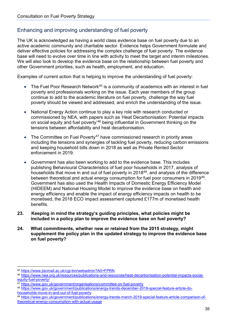#### <span id="page-34-0"></span>Enhancing and improving understanding of fuel poverty

The UK is acknowledged as having a world class evidence base on fuel poverty due to an active academic community and charitable sector. Evidence helps Government formulate and deliver effective policies for addressing the complex challenge of fuel poverty. The evidence base will need to evolve over time in line with activity to meet the target and interim milestones. We will also look to develop the evidence base on the relationship between fuel poverty and other Government priorities, such as health, employment, and education.

Examples of current action that is helping to improve the understanding of fuel poverty:

- The Fuel Poor Research Network<sup>[45](#page-34-1)</sup> is a community of academics with an interest in fuel poverty and professionals working on the issue. Each year members of the group continue to add to the academic literature on fuel poverty, challenge the way fuel poverty should be viewed and addressed, and enrich the understanding of the issue.
- National Energy Action continue to play a key role with research conducted or commissioned by NEA, with papers such as 'Heat Decarbonisation: Potential impacts on social equity and fuel poverty'<sup>[46](#page-34-2)</sup> being influential in Government thinking on the tensions between affordability and heat decarbonisation.
- The Committee on Fuel Poverty<sup>[47](#page-34-3)</sup> have commissioned research in priority areas including the tensions and synergies of tackling fuel poverty, reducing carbon emissions and keeping household bills down in 2018 as well as Private Rented Sector enforcement in 2019.
- Government has also been working to add to the evidence base. This includes publishing Behavioural Characteristics of fuel poor households in 2017, analysis of households that move in and out of fuel poverty in 2018<sup>[48](#page-34-4)</sup>, and analysis of the difference between theoretical and actual energy consumption for fuel poor consumers in 2019[49.](#page-34-5) Government has also used the Health Impacts of Domestic Energy Efficiency Model (HIDEEM) and National Housing Model to improve the evidence base on health and energy efficiency and enable the impact of energy efficiency impacts on health to be monetised, the 2018 ECO impact assessment captured £177m of monetised health benefits.
- **23. Keeping in mind the strategy's guiding principles, what policies might be included in a policy plan to improve the evidence base on fuel poverty?**
- **24. What commitments, whether new or retained from the 2015 strategy, might supplement the policy plan in the updated strategy to improve the evidence base on fuel poverty?**

<span id="page-34-1"></span> <sup>45</sup> <https://www.jiscmail.ac.uk/cgi-bin/webadmin?A0=FPRN>

<span id="page-34-2"></span><sup>46</sup> [https://www.nea.org.uk/resources/publications-and-resources/heat-decarbonisation-potential-impacts-social](https://www.nea.org.uk/resources/publications-and-resources/heat-decarbonisation-potential-impacts-social-equity-fuel-poverty/)[equity-fuel-poverty/](https://www.nea.org.uk/resources/publications-and-resources/heat-decarbonisation-potential-impacts-social-equity-fuel-poverty/)

<span id="page-34-3"></span><sup>47</sup> <https://www.gov.uk/government/organisations/committee-on-fuel-poverty>

<span id="page-34-4"></span><sup>48</sup> [https://www.gov.uk/government/publications/energy-trends-december-2018-special-feature-article-do](https://www.gov.uk/government/publications/energy-trends-december-2018-special-feature-article-do-households-move-in-and-out-of-fuel-poverty)[households-move-in-and-out-of-fuel-poverty](https://www.gov.uk/government/publications/energy-trends-december-2018-special-feature-article-do-households-move-in-and-out-of-fuel-poverty)

<span id="page-34-5"></span><sup>49</sup> [https://www.gov.uk/government/publications/energy-trends-march-2019-special-feature-article-comparison-of](https://www.gov.uk/government/publications/energy-trends-march-2019-special-feature-article-comparison-of-theoretical-energy-consumption-with-actual-usage)[theoretical-energy-consumption-with-actual-usage](https://www.gov.uk/government/publications/energy-trends-march-2019-special-feature-article-comparison-of-theoretical-energy-consumption-with-actual-usage)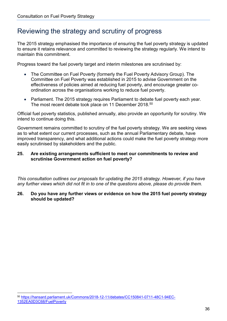## <span id="page-35-0"></span>Reviewing the strategy and scrutiny of progress

The 2015 strategy emphasised the importance of ensuring the fuel poverty strategy is updated to ensure it retains relevance and committed to reviewing the strategy regularly. We intend to maintain this commitment.

Progress toward the fuel poverty target and interim milestones are scrutinised by:

- The Committee on Fuel Poverty (formerly the Fuel Poverty Advisory Group). The Committee on Fuel Poverty was established in 2015 to advise Government on the effectiveness of policies aimed at reducing fuel poverty, and encourage greater coordination across the organisations working to reduce fuel poverty.
- Parliament. The 2015 strategy requires Parliament to debate fuel poverty each year. The most recent debate took place on 11 December 2018.<sup>[50](#page-35-1)</sup>

Official fuel poverty statistics, published annually, also provide an opportunity for scrutiny. We intend to continue doing this.

Government remains committed to scrutiny of the fuel poverty strategy. We are seeking views as to what extent our current processes, such as the annual Parliamentary debate, have improved transparency, and what additional actions could make the fuel poverty strategy more easily scrutinised by stakeholders and the public.

#### **25. Are existing arrangements sufficient to meet our commitments to review and scrutinise Government action on fuel poverty?**

*This consultation outlines our proposals for updating the 2015 strategy. However, if you have any further views which did not fit in to one of the questions above, please do provide them.*

#### **26. Do you have any further views or evidence on how the 2015 fuel poverty strategy should be updated?**

<span id="page-35-1"></span> <sup>50</sup> [https://hansard.parliament.uk/Commons/2018-12-11/debates/CC150841-0711-48C1-94EC-](https://hansard.parliament.uk/Commons/2018-12-11/debates/CC150841-0711-48C1-94EC-1352EA0D3C68/FuelPoverty)[1352EA0D3C68/FuelPoverty](https://hansard.parliament.uk/Commons/2018-12-11/debates/CC150841-0711-48C1-94EC-1352EA0D3C68/FuelPoverty)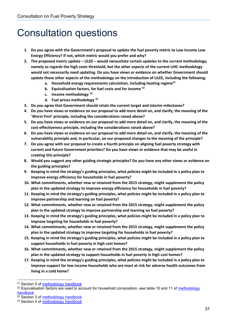## <span id="page-36-0"></span>Consultation questions

- **1. Do you agree with the Government's proposal to update the fuel poverty metric to Low Income Low Energy Efficiency? If not, which metric would you prefer and why?**
- **2. The proposed metric update – LILEE – would necessitate certain updates to the current methodology, namely as regards the high costs threshold, but the other aspects of the current LIHC methodology would not necessarily need updating. Do you have views or evidence on whether Government should update those other aspects of the methodology on the introduction of LILEE, including the following:**
	- **a. Household energy requirements calculation, including heating regime[51](#page-36-1)**
	- **b. Equivalisation factors, for fuel costs and for income [52](#page-36-2)**
	- **c. Income methodology [53](#page-36-3)**
	- **d. Fuel prices methodology [54](#page-36-4)**
- **3. Do you agree that Government should retain the current target and interim milestones?**
- **4. Do you have views or evidence on our proposal to add more detail on, and clarify, the meaning of the 'Worst First' principle, including the considerations raised above?**
- **5. Do you have views or evidence on our proposal to add more detail on, and clarify, the meaning of the cost-effectiveness principle, including the considerations raised above?**
- **6. Do you have views or evidence on our proposal to add more detail on, and clarify, the meaning of the vulnerability principle and, in particular, on our proposed changes to the meaning of the principle?**
- **7. Do you agree with our proposal to create a fourth principle on aligning fuel poverty strategy with current and future Government priorities? Do you have views or evidence that may be useful in creating this principle?**
- **8. Would you suggest any other guiding strategic principles? Do you have any other views or evidence on the guiding principles?**
- **9. Keeping in mind the strategy's guiding principles, what policies might be included in a policy plan to improve energy efficiency for households in fuel poverty?**
- **10. What commitments, whether new or retained from the 2015 strategy, might supplement the policy plan in the updated strategy to improve energy efficiency for households in fuel poverty?**
- **11. Keeping in mind the strategy's guiding principles, what policies might be included in a policy plan to improve partnership and learning on fuel poverty?**
- **12. What commitments, whether new or retained from the 2015 strategy, might supplement the policy plan in the updated strategy to improve partnership and learning on fuel poverty?**
- **13. Keeping in mind the strategy's guiding principles, what policies might be included in a policy plan to improve targeting for households in fuel poverty?**
- **14. What commitments, whether new or retained from the 2015 strategy, might supplement the policy plan in the updated strategy to improve targeting for households in fuel poverty?**
- **15. Keeping in mind the strategy's guiding principles, what policies might be included in a policy plan to support households in fuel poverty in high cost homes?**
- **16. What commitments, whether new or retained from the 2015 strategy, might supplement the policy plan in the updated strategy to support households in fuel poverty in high cost homes?**
- **17. Keeping in mind the strategy's guiding principles, what policies might be included in a policy plan to improve support for low income households who are most at risk for adverse health outcomes from living in a cold home?**

<span id="page-36-1"></span> <sup>51</sup> Section 5 of [methodology handbook](https://www.gov.uk/government/publications/fuel-poverty-statistics-methodology-handbook)

<span id="page-36-2"></span><sup>52</sup> Equivalisation factors are used to account for household composition, see table 10 and 11 of methodology [handbook](https://www.gov.uk/government/publications/fuel-poverty-statistics-methodology-handbook)

<span id="page-36-3"></span><sup>53</sup> Section 3 of [methodology handbook](https://www.gov.uk/government/publications/fuel-poverty-statistics-methodology-handbook)

<span id="page-36-4"></span><sup>54</sup> Section 4 of [methodology handbook](https://www.gov.uk/government/publications/fuel-poverty-statistics-methodology-handbook)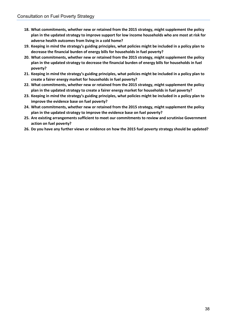- **18. What commitments, whether new or retained from the 2015 strategy, might supplement the policy plan in the updated strategy to improve support for low income households who are most at risk for adverse health outcomes from living in a cold home?**
- **19. Keeping in mind the strategy's guiding principles, what policies might be included in a policy plan to decrease the financial burden of energy bills for households in fuel poverty?**
- **20. What commitments, whether new or retained from the 2015 strategy, might supplement the policy plan in the updated strategy to decrease the financial burden of energy bills for households in fuel poverty?**
- **21. Keeping in mind the strategy's guiding principles, what policies might be included in a policy plan to create a fairer energy market for households in fuel poverty?**
- **22. What commitments, whether new or retained from the 2015 strategy, might supplement the policy plan in the updated strategy to create a fairer energy market for households in fuel poverty?**
- **23. Keeping in mind the strategy's guiding principles, what policies might be included in a policy plan to improve the evidence base on fuel poverty?**
- **24. What commitments, whether new or retained from the 2015 strategy, might supplement the policy plan in the updated strategy to improve the evidence base on fuel poverty?**
- **25. Are existing arrangements sufficient to meet our commitments to review and scrutinise Government action on fuel poverty?**
- **26. Do you have any further views or evidence on how the 2015 fuel poverty strategy should be updated?**